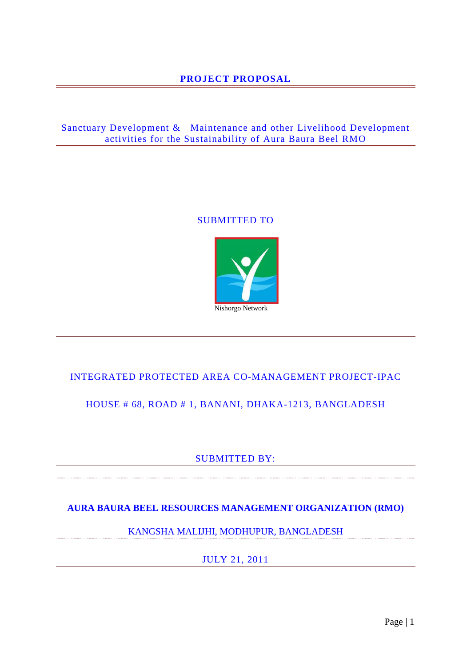## **PROJECT PROPOSAL**

## Sanctuary Development & Maintenance and other Livelihood Development activities for the Sustainability of Aura Baura Beel RMO

### SUBMITTED TO



## INTEGRATED PROTECTED AREA CO-MANAGEMENT PROJECT-IPAC

## HOUSE # 68, ROAD # 1, BANANI, DHAKA-1213, BANGLADESH

## SUBMITTED BY:

## **AURA BAURA BEEL RESOURCES MANAGEMENT ORGANIZATION (RMO)**

KANGSHA MALIJHI, MODHUPUR, BANGLADESH

JULY 21, 2011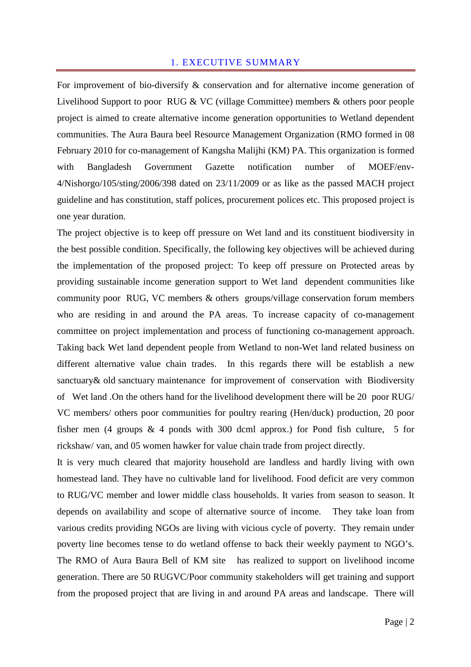#### 1. EXECUTIVE SUMMARY

For improvement of bio-diversify & conservation and for alternative income generation of Livelihood Support to poor RUG & VC (village Committee) members & others poor people project is aimed to create alternative income generation opportunities to Wetland dependent communities. The Aura Baura beel Resource Management Organization (RMO formed in 08 February 2010 for co-management of Kangsha Malijhi (KM) PA. This organization is formed with Bangladesh Government Gazette notification number of MOEF/env-4/Nishorgo/105/sting/2006/398 dated on 23/11/2009 or as like as the passed MACH project guideline and has constitution, staff polices, procurement polices etc. This proposed project is one year duration.

The project objective is to keep off pressure on Wet land and its constituent biodiversity in the best possible condition. Specifically, the following key objectives will be achieved during the implementation of the proposed project: To keep off pressure on Protected areas by providing sustainable income generation support to Wet land dependent communities like community poor RUG, VC members & others groups/village conservation forum members who are residing in and around the PA areas. To increase capacity of co-management committee on project implementation and process of functioning co-management approach. Taking back Wet land dependent people from Wetland to non-Wet land related business on different alternative value chain trades. In this regards there will be establish a new sanctuary& old sanctuary maintenance for improvement of conservation with Biodiversity of Wet land .On the others hand for the livelihood development there will be 20 poor RUG/ VC members/ others poor communities for poultry rearing (Hen/duck) production, 20 poor fisher men (4 groups & 4 ponds with 300 dcml approx.) for Pond fish culture, 5 for rickshaw/ van, and 05 women hawker for value chain trade from project directly.

It is very much cleared that majority household are landless and hardly living with own homestead land. They have no cultivable land for livelihood. Food deficit are very common to RUG/VC member and lower middle class households. It varies from season to season. It depends on availability and scope of alternative source of income. They take loan from various credits providing NGOs are living with vicious cycle of poverty. They remain under poverty line becomes tense to do wetland offense to back their weekly payment to NGO's. The RMO of Aura Baura Bell of KM site has realized to support on livelihood income generation. There are 50 RUGVC/Poor community stakeholders will get training and support from the proposed project that are living in and around PA areas and landscape. There will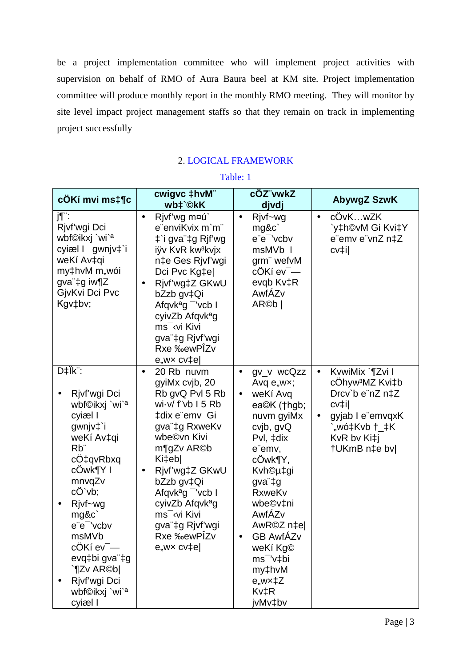be a project implementation committee who will implement project activities with supervision on behalf of RMO of Aura Baura beel at KM site. Project implementation committee will produce monthly report in the monthly RMO meeting. They will monitor by site level impact project management staffs so that they remain on track in implementing project successfully

## 2. LOGICAL FRAMEWORK

| cÖKí mvi ms‡¶c                                                                                                                                                                                                                                                                                                                       | cwigvc ‡hvM"<br>wb‡`©kK                                                                                                                                                                                                                                                                                                                                                          | cOZ"vwkZ<br>djvdj                                                                                                                                                                                                                                                                                                                        | <b>AbywgZ SzwK</b>                                                                                                                                                      |
|--------------------------------------------------------------------------------------------------------------------------------------------------------------------------------------------------------------------------------------------------------------------------------------------------------------------------------------|----------------------------------------------------------------------------------------------------------------------------------------------------------------------------------------------------------------------------------------------------------------------------------------------------------------------------------------------------------------------------------|------------------------------------------------------------------------------------------------------------------------------------------------------------------------------------------------------------------------------------------------------------------------------------------------------------------------------------------|-------------------------------------------------------------------------------------------------------------------------------------------------------------------------|
| j¶¨:<br>Rjvf'wgi Dci<br>wbf©ikxj `wi` <sup>a</sup><br>cyiæl I gwnjv‡`i<br>weKí Av‡qi<br>my‡hvM m"wói<br>gva"‡g iw¶Z<br>GjvKvi Dci Pvc<br>Kgv‡bv;                                                                                                                                                                                     | Rjvf'wg m¤ú`<br>$\bullet$<br>e"enviKvix m`m"<br>‡`i gva"‡g Rjf'wg<br>iÿv KvR kw <sup>3</sup> kvjx<br>n‡e Ges Rjvf'wgi<br>Dci Pvc Kg‡e <br>Rjvf'wg‡Z GKwU<br>$\bullet$<br>bZzb gv‡Qi<br>Afqvk <sup>a</sup> g <sup>-</sup> 'vcb I<br>cyivZb Afqvk <sup>a</sup> g<br>ms <sup>-</sup> vi Kivi<br>gva"‡g Rjvf'wgi<br>Rxe <sub>‰ewPÎZv</sub><br>$e$ "w $\times$ cv $\uparrow$ e $\mid$ | Rjvf~wg<br>$\bullet$<br>mg&c`<br>e"e" 'vcbv<br>msMVb I<br>grm" wefvM<br>cÖKí ev <sup>-</sup> —<br>evqb Kv‡R<br>AwfÁZv<br>AR@b                                                                                                                                                                                                            | cÖvKwZK<br>$\bullet$<br>`y‡h©vM Gi Kvi‡Y<br>e"emv e"vnZ n‡Z<br>cv‡i                                                                                                     |
| D‡Ïk <sup>"</sup> :<br>Rjvf'wgi Dci<br>wbf©ikxj `wi` <sup>a</sup><br>cyiæl I<br>gwnjv‡`i<br>weKí Av‡qi<br>R <sub>b</sub> "<br>cÖ‡qvRbxq<br>cOwk¶Y I<br>mnvqZv<br>cÖ`vb;<br>Rjvf~wg<br>mg&c`<br>e"e" 'vcbv<br>msMVb<br>cÖKí ev <sup>-</sup> -<br>evq‡bi gva"‡g<br>`¶Zv AR©b <br>Rivf'wgi Dci<br>wbf©ikxj `wi` <sup>a</sup><br>cyiæl I | 20 Rb nuvm<br>$\bullet$<br>gyiMx cvjb, 20<br>Rb gvQ Pvl 5 Rb<br>wi-v/f"vb I5 Rb<br>‡dix e"emv Gi<br>gva"‡g RxweKv<br>wbe©vn Kivi<br>m¶gZv AR©b<br>Ki‡eb <br>Rjvf'wg‡Z GKwU<br>$\bullet$<br>bZzb gv‡Qi<br>Afqvk <sup>a</sup> g vcb I<br>cyivZb Afqvk <sup>a</sup> g<br>ms <sup>-</sup> vi Kivi<br>gva"‡g Rjvf'wgi<br>Rxe ‰ewPÎZv<br>$e$ "w $\times$ cv $\uparrow$ e $\mid$        | gv_v wcQzz<br>$\bullet$<br>Avq $e_{n}wx$ ;<br>weKí Avq<br>$\bullet$<br>ea©K (†hgb;<br>nuvm gyiMx<br>cvjb, gvQ<br>Pvl, ‡dix<br>e"emv,<br>cÖwk¶Y,<br>Kvh©µ‡gi<br>gva"‡g<br><b>RxweKv</b><br>wbe©v‡ni<br>AwfÁZv<br>AwR©Z n‡e <br><b>GB AwfÁZv</b><br>$\bullet$<br>weKí Kg©<br>ms <sup>-</sup> 'v‡bi<br>my‡hvM<br>e,,wx‡Z<br>Kv‡R<br>jvMv‡bv | KvwiMix `¶Zvi I<br>$\bullet$<br>cÖhyw <sup>3</sup> MZ Kvi‡b<br>Drcv`b e"nZ n‡Z<br>cv‡i <br>gyjab I e"emvqxK<br>$\bullet$<br>"wó‡Kvb †_‡K<br>KvR bv Ki‡j<br>†UKmB n‡e bv |

Table: 1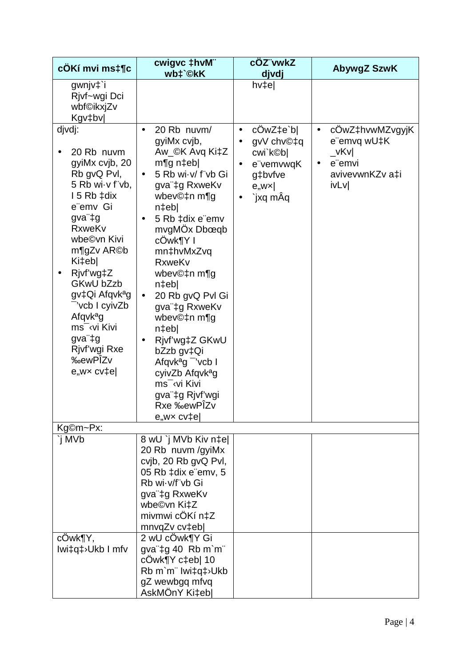| cÖKí mvi ms‡¶c                                                                                                                                                                                                                                                                                                                                                                | cwigvc ‡hvM"<br>wb‡`©kK                                                                                                                                                                                                                                                                                                                                                                                                                                                                                                                                          | cÖZ"vwkZ<br>djvdj                                                                                                             | <b>AbywgZ SzwK</b>                                                                                                            |
|-------------------------------------------------------------------------------------------------------------------------------------------------------------------------------------------------------------------------------------------------------------------------------------------------------------------------------------------------------------------------------|------------------------------------------------------------------------------------------------------------------------------------------------------------------------------------------------------------------------------------------------------------------------------------------------------------------------------------------------------------------------------------------------------------------------------------------------------------------------------------------------------------------------------------------------------------------|-------------------------------------------------------------------------------------------------------------------------------|-------------------------------------------------------------------------------------------------------------------------------|
| gwnjv‡`i<br>Rjvf~wgi Dci<br>wbf©ikxjZv<br>Kgv‡bv                                                                                                                                                                                                                                                                                                                              |                                                                                                                                                                                                                                                                                                                                                                                                                                                                                                                                                                  | $h$ v $\uparrow$ e                                                                                                            |                                                                                                                               |
| djvdj:<br>20 Rb nuvm<br>gyiMx cvjb, 20<br>Rb gvQ PvI,<br>5 Rb wi-v f vb,<br>15 Rb ‡dix<br>e"emv Gi<br>gva"‡g<br><b>RxweKv</b><br>wbe©vn Kivi<br>m¶gZv AR©b<br>Ki‡ebl<br>Rivf'wg‡Z<br>GKwU bZzb<br>gv‡Qi Afqvk <sup>a</sup> g<br>vcb I cyivZb<br>Afqvk <sup>a</sup> g<br>ms <sup>-</sup> vi Kivi<br>gva"‡g<br>Rjvf'wgi Rxe<br><b>%ewPÎZv</b><br>$e, wx$ cv $\uparrow$ e $\mid$ | 20 Rb nuvm/<br>$\bullet$<br>gyiMx cvjb,<br>Aw_©K Avq Ki‡Z<br>$mgq$ n‡eb<br>5 Rb wi v/ f"vb Gi<br>$\bullet$<br>gva"‡g RxweKv<br>wbev©‡n m¶g<br>$n$ ‡eb<br>5 Rb ‡dix e emv<br>$\bullet$<br>mvgMÖx Dbœqb<br>cÖwk¶Y I<br>mn‡hvMxZvq<br><b>RxweKv</b><br>wbev©‡n m¶g<br>n‡ebl<br>20 Rb gvQ Pvl Gi<br>$\bullet$<br>gva"‡g RxweKv<br>wbev©‡n m¶g<br>$n$ ‡eb<br>Rjvf'wg‡Z GKwU<br>$\bullet$<br>bZzb gv‡Qi<br>Afqvk <sup>a</sup> g vcb I<br>cyivZb Afqvk <sup>a</sup> g<br>ms <sup>-</sup> vi Kivi<br>gva"‡g Rjvf'wgi<br>Rxe ‰ewPÎZv<br>$e_{n}$ wx cv $\uparrow$ e $\mid$ | $c0wZ \neq c'b$<br>$\bullet$<br>gvV chv©‡q<br>$\bullet$<br>cwi`k©b <br>e"vemvwqK<br>$\bullet$<br>g‡bvfve<br>e, wx<br>`jxq mÂq | cOwZ‡hvwMZvgyjK<br>$\bullet$<br>e"emvq wU‡K<br>$\sqrt{\mathsf{vKv}}$<br>e"emvi<br>$\bullet$<br>avivevwnKZv a‡i<br><b>ivLv</b> |
| Kg©m~Px:                                                                                                                                                                                                                                                                                                                                                                      |                                                                                                                                                                                                                                                                                                                                                                                                                                                                                                                                                                  |                                                                                                                               |                                                                                                                               |
| `i MVb                                                                                                                                                                                                                                                                                                                                                                        | 8 wU `j MVb Kiv n‡e <br>20 Rb nuvm /gyiMx<br>cvjb, 20 Rb gvQ Pvl,<br>05 Rb ‡dix e"emv, 5<br>Rb wi v/f"vb Gi<br>gva"‡g RxweKv<br>wbe©vn Ki‡Z<br>mivmwi cÖKí n‡Z<br>mnvqZv cv‡eb                                                                                                                                                                                                                                                                                                                                                                                   |                                                                                                                               |                                                                                                                               |
| cÖwk¶Y,<br>Iwi‡q‡>Ukb I mfv                                                                                                                                                                                                                                                                                                                                                   | 2 wU cOwk¶Y Gi<br>gva"‡g 40 Rb m`m"<br>cÖwk¶Y c‡eb  10<br>Rb m'm" lwi‡q‡ Ukb<br>gZ wewbgq mfvq<br>AskMÖnY Ki‡eb                                                                                                                                                                                                                                                                                                                                                                                                                                                  |                                                                                                                               |                                                                                                                               |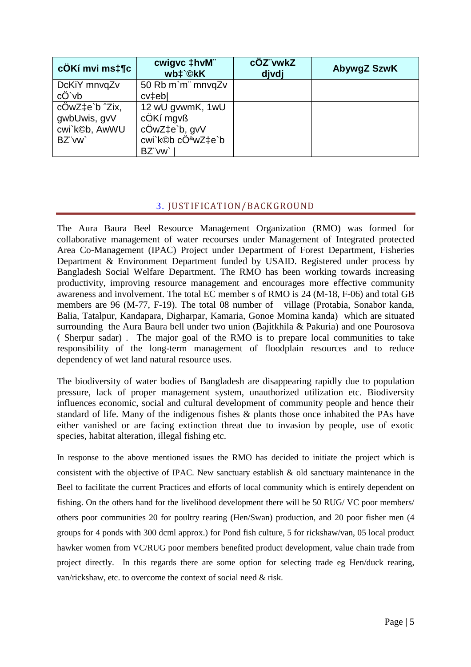| cÖKí mvi ms‡¶c | cwigvc ‡hvM"<br>wb‡`©kK | cÖZ"vwkZ<br>djvdj | AbywgZ SzwK |
|----------------|-------------------------|-------------------|-------------|
| DcKiY mnvqZv   | 50 Rb m`m¨ mnvqZv       |                   |             |
| cÖ`vb          | cv <sub>‡eb</sub>       |                   |             |
| cÖwZ‡e`b ^Zix, | 12 wU gvwmK, 1wU        |                   |             |
| gwbUwis, gvV   | cÖKí mgvß               |                   |             |
| cwi`k©b, AwWU  | cÖwZ‡e`b, gvV           |                   |             |
| BZ"vw          | cwi`k©b cÖªwZ‡e`b       |                   |             |
|                | BZ"vw`                  |                   |             |

## 3. JUSTIFICATION/BACKGROUND

The Aura Baura Beel Resource Management Organization (RMO) was formed for collaborative management of water recourses under Management of Integrated protected Area Co-Management (IPAC) Project under Department of Forest Department, Fisheries Department & Environment Department funded by USAID. Registered under process by Bangladesh Social Welfare Department. The RMO has been working towards increasing productivity, improving resource management and encourages more effective community awareness and involvement. The total EC member s of RMO is 24 (M-18, F-06) and total GB members are 96 (M-77, F-19). The total 08 number of village (Protabia, Sonabor kanda, Balia, Tatalpur, Kandapara, Digharpar, Kamaria, Gonoe Momina kanda) which are situated surrounding the Aura Baura bell under two union (Bajitkhila & Pakuria) and one Pourosova ( Sherpur sadar) . The major goal of the RMO is to prepare local communities to take responsibility of the long-term management of floodplain resources and to reduce dependency of wet land natural resource uses.

The biodiversity of water bodies of Bangladesh are disappearing rapidly due to population pressure, lack of proper management system, unauthorized utilization etc. Biodiversity influences economic, social and cultural development of community people and hence their standard of life. Many of the indigenous fishes & plants those once inhabited the PAs have either vanished or are facing extinction threat due to invasion by people, use of exotic species, habitat alteration, illegal fishing etc.

In response to the above mentioned issues the RMO has decided to initiate the project which is consistent with the objective of IPAC. New sanctuary establish  $\&$  old sanctuary maintenance in the Beel to facilitate the current Practices and efforts of local community which is entirely dependent on fishing. On the others hand for the livelihood development there will be 50 RUG/ VC poor members/ others poor communities 20 for poultry rearing (Hen/Swan) production, and 20 poor fisher men (4 groups for 4 ponds with 300 dcml approx.) for Pond fish culture, 5 for rickshaw/van, 05 local product hawker women from VC/RUG poor members benefited product development, value chain trade from project directly. In this regards there are some option for selecting trade eg Hen/duck rearing, van/rickshaw, etc. to overcome the context of social need & risk.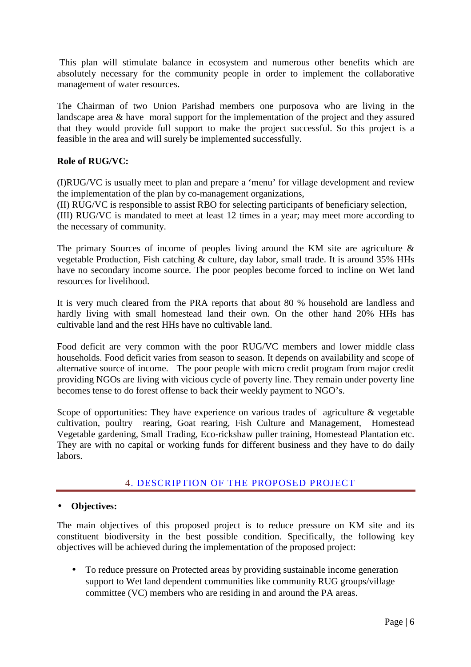This plan will stimulate balance in ecosystem and numerous other benefits which are absolutely necessary for the community people in order to implement the collaborative management of water resources.

The Chairman of two Union Parishad members one purposova who are living in the landscape area & have moral support for the implementation of the project and they assured that they would provide full support to make the project successful. So this project is a feasible in the area and will surely be implemented successfully.

### **Role of RUG/VC:**

(I)RUG/VC is usually meet to plan and prepare a 'menu' for village development and review the implementation of the plan by co-management organizations,

(II) RUG/VC is responsible to assist RBO for selecting participants of beneficiary selection, (III) RUG/VC is mandated to meet at least 12 times in a year; may meet more according to the necessary of community.

The primary Sources of income of peoples living around the KM site are agriculture & vegetable Production, Fish catching & culture, day labor, small trade. It is around 35% HHs have no secondary income source. The poor peoples become forced to incline on Wet land resources for livelihood.

It is very much cleared from the PRA reports that about 80 % household are landless and hardly living with small homestead land their own. On the other hand 20% HHs has cultivable land and the rest HHs have no cultivable land.

Food deficit are very common with the poor RUG/VC members and lower middle class households. Food deficit varies from season to season. It depends on availability and scope of alternative source of income. The poor people with micro credit program from major credit providing NGOs are living with vicious cycle of poverty line. They remain under poverty line becomes tense to do forest offense to back their weekly payment to NGO's.

Scope of opportunities: They have experience on various trades of agriculture & vegetable cultivation, poultry rearing, Goat rearing, Fish Culture and Management, Homestead Vegetable gardening, Small Trading, Eco-rickshaw puller training, Homestead Plantation etc. They are with no capital or working funds for different business and they have to do daily labors.

### 4. DESCRIPTION OF THE PROPOSED PROJECT

### • **Objectives:**

The main objectives of this proposed project is to reduce pressure on KM site and its constituent biodiversity in the best possible condition. Specifically, the following key objectives will be achieved during the implementation of the proposed project:

• To reduce pressure on Protected areas by providing sustainable income generation support to Wet land dependent communities like community RUG groups/village committee (VC) members who are residing in and around the PA areas.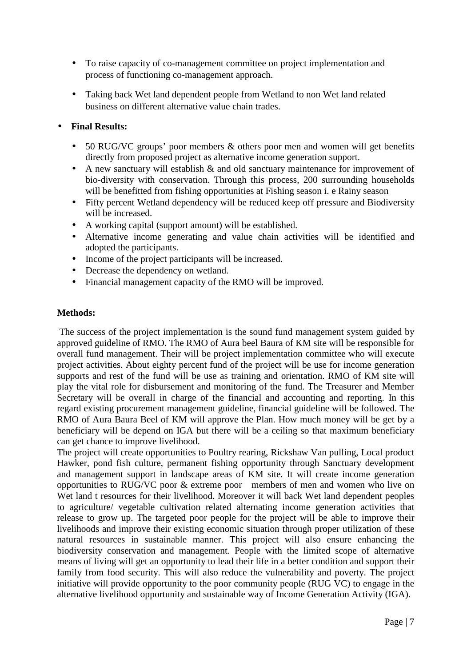- To raise capacity of co-management committee on project implementation and process of functioning co-management approach.
- Taking back Wet land dependent people from Wetland to non Wet land related business on different alternative value chain trades.

#### • **Final Results:**

- 50 RUG/VC groups' poor members & others poor men and women will get benefits directly from proposed project as alternative income generation support.
- A new sanctuary will establish & and old sanctuary maintenance for improvement of bio-diversity with conservation. Through this process, 200 surrounding households will be benefitted from fishing opportunities at Fishing season i. e Rainy season
- Fifty percent Wetland dependency will be reduced keep off pressure and Biodiversity will be increased.
- A working capital (support amount) will be established.
- Alternative income generating and value chain activities will be identified and adopted the participants.
- Income of the project participants will be increased.
- Decrease the dependency on wetland.
- Financial management capacity of the RMO will be improved.

### **Methods:**

 The success of the project implementation is the sound fund management system guided by approved guideline of RMO. The RMO of Aura beel Baura of KM site will be responsible for overall fund management. Their will be project implementation committee who will execute project activities. About eighty percent fund of the project will be use for income generation supports and rest of the fund will be use as training and orientation. RMO of KM site will play the vital role for disbursement and monitoring of the fund. The Treasurer and Member Secretary will be overall in charge of the financial and accounting and reporting. In this regard existing procurement management guideline, financial guideline will be followed. The RMO of Aura Baura Beel of KM will approve the Plan. How much money will be get by a beneficiary will be depend on IGA but there will be a ceiling so that maximum beneficiary can get chance to improve livelihood.

The project will create opportunities to Poultry rearing, Rickshaw Van pulling, Local product Hawker, pond fish culture, permanent fishing opportunity through Sanctuary development and management support in landscape areas of KM site. It will create income generation opportunities to RUG/VC poor & extreme poor members of men and women who live on Wet land t resources for their livelihood. Moreover it will back Wet land dependent peoples to agriculture/ vegetable cultivation related alternating income generation activities that release to grow up. The targeted poor people for the project will be able to improve their livelihoods and improve their existing economic situation through proper utilization of these natural resources in sustainable manner. This project will also ensure enhancing the biodiversity conservation and management. People with the limited scope of alternative means of living will get an opportunity to lead their life in a better condition and support their family from food security. This will also reduce the vulnerability and poverty. The project initiative will provide opportunity to the poor community people (RUG VC) to engage in the alternative livelihood opportunity and sustainable way of Income Generation Activity (IGA).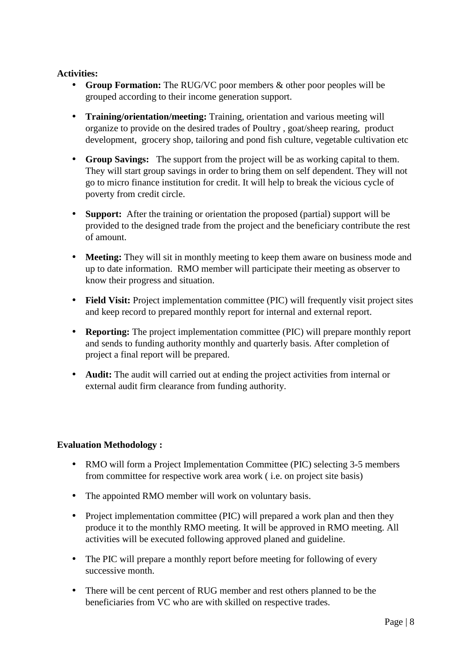#### **Activities:**

- **Group Formation:** The RUG/VC poor members & other poor peoples will be grouped according to their income generation support.
- **Training/orientation/meeting:** Training, orientation and various meeting will organize to provide on the desired trades of Poultry , goat/sheep rearing, product development, grocery shop, tailoring and pond fish culture, vegetable cultivation etc
- **Group Savings:** The support from the project will be as working capital to them. They will start group savings in order to bring them on self dependent. They will not go to micro finance institution for credit. It will help to break the vicious cycle of poverty from credit circle.
- **Support:** After the training or orientation the proposed (partial) support will be provided to the designed trade from the project and the beneficiary contribute the rest of amount.
- **Meeting:** They will sit in monthly meeting to keep them aware on business mode and up to date information. RMO member will participate their meeting as observer to know their progress and situation.
- **Field Visit:** Project implementation committee (PIC) will frequently visit project sites and keep record to prepared monthly report for internal and external report.
- **Reporting:** The project implementation committee (PIC) will prepare monthly report and sends to funding authority monthly and quarterly basis. After completion of project a final report will be prepared.
- **Audit:** The audit will carried out at ending the project activities from internal or external audit firm clearance from funding authority.

### **Evaluation Methodology :**

- RMO will form a Project Implementation Committee (PIC) selecting 3-5 members from committee for respective work area work ( i.e. on project site basis)
- The appointed RMO member will work on voluntary basis.
- Project implementation committee (PIC) will prepared a work plan and then they produce it to the monthly RMO meeting. It will be approved in RMO meeting. All activities will be executed following approved planed and guideline.
- The PIC will prepare a monthly report before meeting for following of every successive month.
- There will be cent percent of RUG member and rest others planned to be the beneficiaries from VC who are with skilled on respective trades.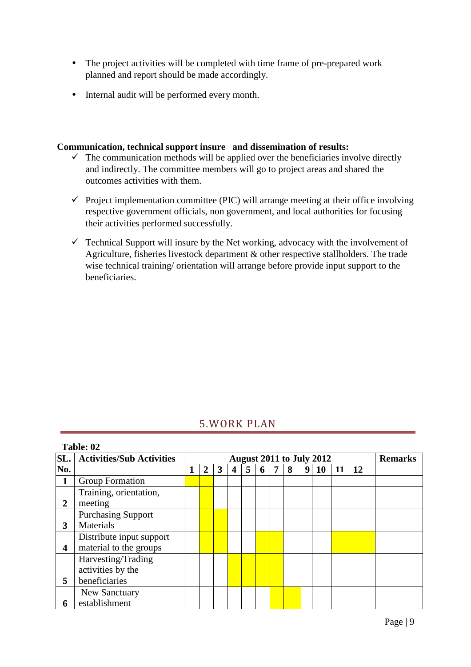- The project activities will be completed with time frame of pre-prepared work planned and report should be made accordingly.
- Internal audit will be performed every month.

#### **Communication, technical support insure and dissemination of results:**

- $\checkmark$  The communication methods will be applied over the beneficiaries involve directly and indirectly. The committee members will go to project areas and shared the outcomes activities with them.
- $\checkmark$  Project implementation committee (PIC) will arrange meeting at their office involving respective government officials, non government, and local authorities for focusing their activities performed successfully.
- $\checkmark$  Technical Support will insure by the Net working, advocacy with the involvement of Agriculture, fisheries livestock department & other respective stallholders. The trade wise technical training/ orientation will arrange before provide input support to the beneficiaries.

# 5.WORK PLAN

|                         | Table: 02                        |                                 |   |  |   |   |  |   |                |    |    |    |  |
|-------------------------|----------------------------------|---------------------------------|---|--|---|---|--|---|----------------|----|----|----|--|
| SL.                     | <b>Activities/Sub Activities</b> | <b>August 2011 to July 2012</b> |   |  |   |   |  |   | <b>Remarks</b> |    |    |    |  |
| No.                     |                                  | ว                               | 3 |  | 5 | 6 |  | 8 | 9              | 10 | 11 | 12 |  |
| $\mathbf{1}$            | Group Formation                  |                                 |   |  |   |   |  |   |                |    |    |    |  |
|                         | Training, orientation,           |                                 |   |  |   |   |  |   |                |    |    |    |  |
| $\overline{2}$          | meeting                          |                                 |   |  |   |   |  |   |                |    |    |    |  |
|                         | <b>Purchasing Support</b>        |                                 |   |  |   |   |  |   |                |    |    |    |  |
| 3                       | Materials                        |                                 |   |  |   |   |  |   |                |    |    |    |  |
|                         | Distribute input support         |                                 |   |  |   |   |  |   |                |    |    |    |  |
| $\overline{\mathbf{4}}$ | material to the groups           |                                 |   |  |   |   |  |   |                |    |    |    |  |
|                         | Harvesting/Trading               |                                 |   |  |   |   |  |   |                |    |    |    |  |
|                         | activities by the                |                                 |   |  |   |   |  |   |                |    |    |    |  |
| 5                       | beneficiaries                    |                                 |   |  |   |   |  |   |                |    |    |    |  |
|                         | New Sanctuary                    |                                 |   |  |   |   |  |   |                |    |    |    |  |
| 6                       | establishment                    |                                 |   |  |   |   |  |   |                |    |    |    |  |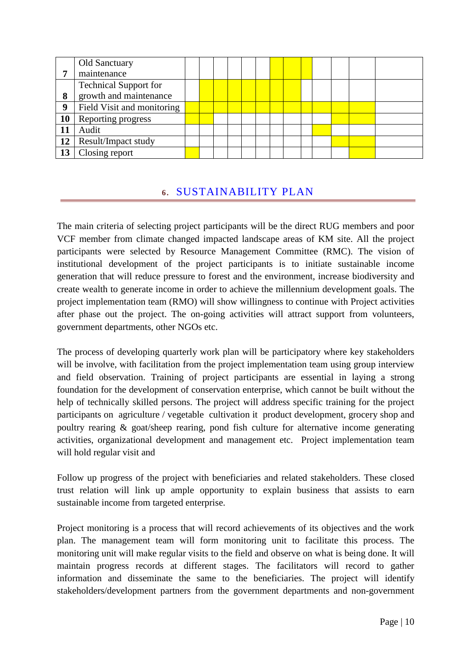|    | Old Sanctuary                |  |  |  |  |  |  |  |
|----|------------------------------|--|--|--|--|--|--|--|
| –  | maintenance                  |  |  |  |  |  |  |  |
|    | <b>Technical Support for</b> |  |  |  |  |  |  |  |
| 8  | growth and maintenance       |  |  |  |  |  |  |  |
| 9  | Field Visit and monitoring   |  |  |  |  |  |  |  |
| 10 | Reporting progress           |  |  |  |  |  |  |  |
| 11 | Audit                        |  |  |  |  |  |  |  |
| 12 | Result/Impact study          |  |  |  |  |  |  |  |
| 13 | Closing report               |  |  |  |  |  |  |  |

## **6.** SUSTAINABILITY PLAN

The main criteria of selecting project participants will be the direct RUG members and poor VCF member from climate changed impacted landscape areas of KM site. All the project participants were selected by Resource Management Committee (RMC). The vision of institutional development of the project participants is to initiate sustainable income generation that will reduce pressure to forest and the environment, increase biodiversity and create wealth to generate income in order to achieve the millennium development goals. The project implementation team (RMO) will show willingness to continue with Project activities after phase out the project. The on-going activities will attract support from volunteers, government departments, other NGOs etc.

The process of developing quarterly work plan will be participatory where key stakeholders will be involve, with facilitation from the project implementation team using group interview and field observation. Training of project participants are essential in laying a strong foundation for the development of conservation enterprise, which cannot be built without the help of technically skilled persons. The project will address specific training for the project participants on agriculture / vegetable cultivation it product development, grocery shop and poultry rearing  $\&$  goat/sheep rearing, pond fish culture for alternative income generating activities, organizational development and management etc. Project implementation team will hold regular visit and

Follow up progress of the project with beneficiaries and related stakeholders. These closed trust relation will link up ample opportunity to explain business that assists to earn sustainable income from targeted enterprise.

Project monitoring is a process that will record achievements of its objectives and the work plan. The management team will form monitoring unit to facilitate this process. The monitoring unit will make regular visits to the field and observe on what is being done. It will maintain progress records at different stages. The facilitators will record to gather information and disseminate the same to the beneficiaries. The project will identify stakeholders/development partners from the government departments and non-government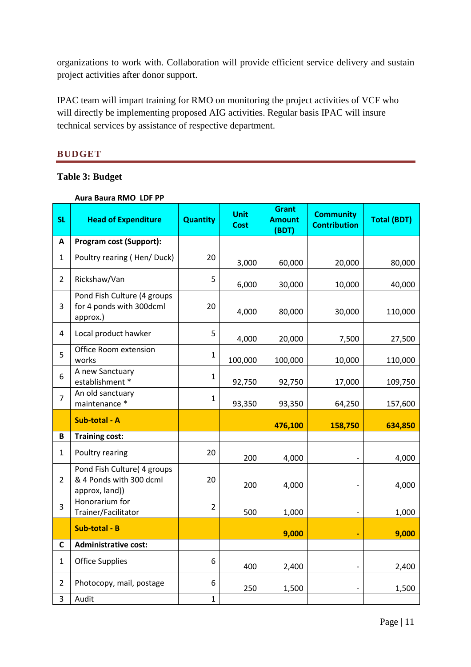organizations to work with. Collaboration will provide efficient service delivery and sustain project activities after donor support.

IPAC team will impart training for RMO on monitoring the project activities of VCF who will directly be implementing proposed AIG activities. Regular basis IPAC will insure technical services by assistance of respective department.

## **BUDGET**

#### **Table 3: Budget**

| <b>SL</b>      | лиги римги нигр<br><b>Head of Expenditure</b>                            | <b>Quantity</b> | <b>Unit</b> | <b>Grant</b><br><b>Amount</b> | <b>Community</b>    | <b>Total (BDT)</b> |
|----------------|--------------------------------------------------------------------------|-----------------|-------------|-------------------------------|---------------------|--------------------|
|                |                                                                          |                 | <b>Cost</b> | (BDT)                         | <b>Contribution</b> |                    |
| Α              | Program cost (Support):                                                  |                 |             |                               |                     |                    |
| $\mathbf{1}$   | Poultry rearing (Hen/Duck)                                               | 20              | 3,000       | 60,000                        | 20,000              | 80,000             |
| $\overline{2}$ | Rickshaw/Van                                                             | 5               | 6,000       | 30,000                        | 10,000              | 40,000             |
| 3              | Pond Fish Culture (4 groups<br>for 4 ponds with 300dcml<br>approx.)      | 20              | 4,000       | 80,000                        | 30,000              | 110,000            |
| 4              | Local product hawker                                                     | 5               | 4,000       | 20,000                        | 7,500               | 27,500             |
| 5              | Office Room extension<br>works                                           | $\mathbf{1}$    | 100,000     | 100,000                       | 10,000              | 110,000            |
| 6              | A new Sanctuary<br>establishment *                                       | $\mathbf{1}$    | 92,750      | 92,750                        | 17,000              | 109,750            |
| $\overline{7}$ | An old sanctuary<br>maintenance *                                        | $\mathbf{1}$    | 93,350      | 93,350                        | 64,250              | 157,600            |
|                | Sub-total - A                                                            |                 |             | 476,100                       | 158,750             | 634,850            |
| B              | <b>Training cost:</b>                                                    |                 |             |                               |                     |                    |
| $\mathbf{1}$   | Poultry rearing                                                          | 20              | 200         | 4,000                         |                     | 4,000              |
| $\overline{2}$ | Pond Fish Culture( 4 groups<br>& 4 Ponds with 300 dcml<br>approx, land)) | 20              | 200         | 4,000                         |                     | 4,000              |
| 3              | Honorarium for<br>Trainer/Facilitator                                    | $\overline{2}$  | 500         | 1,000                         |                     | 1,000              |
|                | Sub-total - B                                                            |                 |             | 9,000                         |                     | 9,000              |
| $\mathsf{C}$   | <b>Administrative cost:</b>                                              |                 |             |                               |                     |                    |
| $\mathbf{1}$   | <b>Office Supplies</b>                                                   | 6               | 400         | 2,400                         |                     | 2,400              |
| $\overline{2}$ | Photocopy, mail, postage                                                 | 6               | 250         | 1,500                         |                     | 1,500              |
| 3              | Audit                                                                    | $\mathbf{1}$    |             |                               |                     |                    |

#### **Aura Baura RMO LDF PP**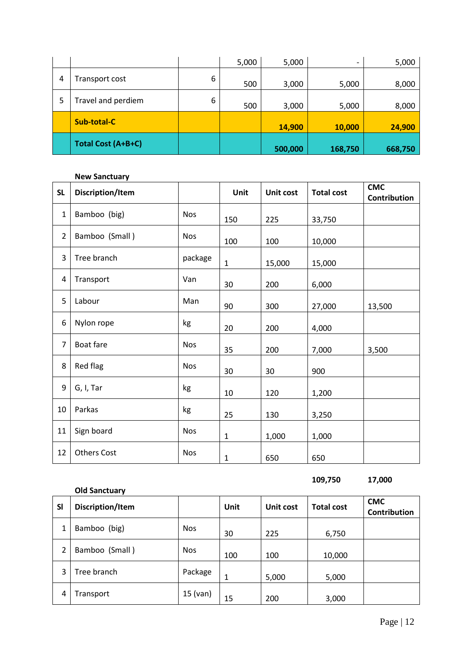|   |                    |   | 5,000 | 5,000   | $\overline{\phantom{0}}$ | 5,000   |
|---|--------------------|---|-------|---------|--------------------------|---------|
| 4 | Transport cost     | 6 | 500   | 3,000   | 5,000                    | 8,000   |
| 5 | Travel and perdiem | 6 | 500   | 3,000   | 5,000                    | 8,000   |
|   | <b>Sub-total-C</b> |   |       | 14,900  | 10,000                   | 24,900  |
|   | Total Cost (A+B+C) |   |       | 500,000 | 168,750                  | 668,750 |

#### **New Sanctuary**

| <b>SL</b>      | Discription/Item   |            | <b>Unit</b>  | Unit cost | <b>Total cost</b> | <b>CMC</b><br>Contribution |
|----------------|--------------------|------------|--------------|-----------|-------------------|----------------------------|
| $\mathbf{1}$   | Bamboo (big)       | <b>Nos</b> | 150          | 225       | 33,750            |                            |
| $\overline{2}$ | Bamboo (Small)     | <b>Nos</b> | 100          | 100       | 10,000            |                            |
| 3              | Tree branch        | package    | $\mathbf{1}$ | 15,000    | 15,000            |                            |
| 4              | Transport          | Van        | 30           | 200       | 6,000             |                            |
| 5              | Labour             | Man        | 90           | 300       | 27,000            | 13,500                     |
| 6              | Nylon rope         | kg         | 20           | 200       | 4,000             |                            |
| $\overline{7}$ | Boat fare          | <b>Nos</b> | 35           | 200       | 7,000             | 3,500                      |
| 8              | Red flag           | <b>Nos</b> | 30           | 30        | 900               |                            |
| 9              | G, I, Tar          | kg         | 10           | 120       | 1,200             |                            |
| 10             | Parkas             | kg         | 25           | 130       | 3,250             |                            |
| 11             | Sign board         | <b>Nos</b> | $\mathbf{1}$ | 1,000     | 1,000             |                            |
| 12             | <b>Others Cost</b> | <b>Nos</b> | $\mathbf 1$  | 650       | 650               |                            |

**109,750 17,000** 

|           | <b>Old Sanctuary</b> |            |             |           |                   |                                   |
|-----------|----------------------|------------|-------------|-----------|-------------------|-----------------------------------|
| <b>SI</b> | Discription/Item     |            | <b>Unit</b> | Unit cost | <b>Total cost</b> | <b>CMC</b><br><b>Contribution</b> |
| 1         | Bamboo (big)         | <b>Nos</b> | 30          | 225       | 6,750             |                                   |
| 2         | Bamboo (Small)       | <b>Nos</b> | 100         | 100       | 10,000            |                                   |
| 3         | Tree branch          | Package    | 1           | 5,000     | 5,000             |                                   |
| 4         | Transport            | $15$ (van) | 15          | 200       | 3,000             |                                   |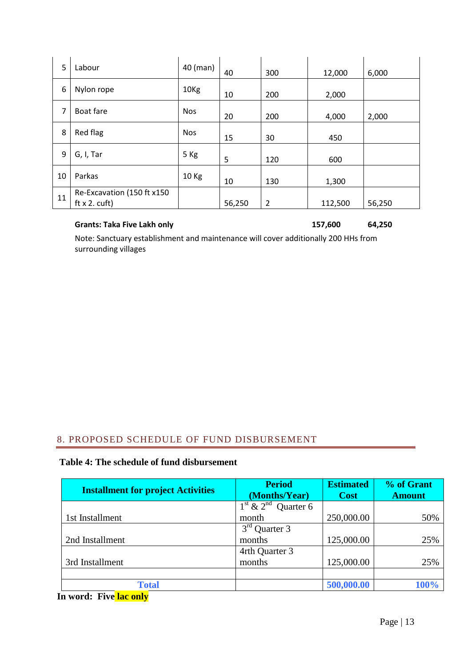| 5  | Labour                                              | 40 (man)         | 40     | 300            | 12,000  | 6,000  |
|----|-----------------------------------------------------|------------------|--------|----------------|---------|--------|
| 6  | Nylon rope                                          | 10 <sub>Kg</sub> | 10     | 200            | 2,000   |        |
| 7  | Boat fare                                           | <b>Nos</b>       | 20     | 200            | 4,000   | 2,000  |
| 8  | Red flag                                            | <b>Nos</b>       | 15     | 30             | 450     |        |
| 9  | G, I, Tar                                           | 5 Kg             | 5      | 120            | 600     |        |
| 10 | Parkas                                              | 10 Kg            | 10     | 130            | 1,300   |        |
| 11 | Re-Excavation (150 ft x150<br>$ft x 2. \text{cuff}$ |                  | 56,250 | $\overline{2}$ | 112,500 | 56,250 |

#### **Grants: Taka Five Lakh only**

**157,600 64,250** 

Note: Sanctuary establishment and maintenance will cover additionally 200 HHs from surrounding villages

## 8. PROPOSED SCHEDULE OF FUND DISBURSEMENT

#### **Table 4: The schedule of fund disbursement**

| <b>Installment for project Activities</b> | <b>Period</b><br>(Months/Year) | <b>Estimated</b><br><b>Cost</b> | % of Grant<br><b>Amount</b> |
|-------------------------------------------|--------------------------------|---------------------------------|-----------------------------|
|                                           | $1st$ & $2nd$ Quarter 6        |                                 |                             |
| 1st Installment                           | month                          | 250,000.00                      | 50%                         |
|                                           | $3^{\text{rd}}$<br>Quarter 3   |                                 |                             |
| 2nd Installment                           | months                         | 125,000.00                      | 25%                         |
|                                           | 4rth Quarter 3                 |                                 |                             |
| 3rd Installment                           | months                         | 125,000.00                      | 25%                         |
|                                           |                                |                                 |                             |
| <b>Total</b>                              |                                | 500,000.00                      | 100%                        |

**In word: Five lac only**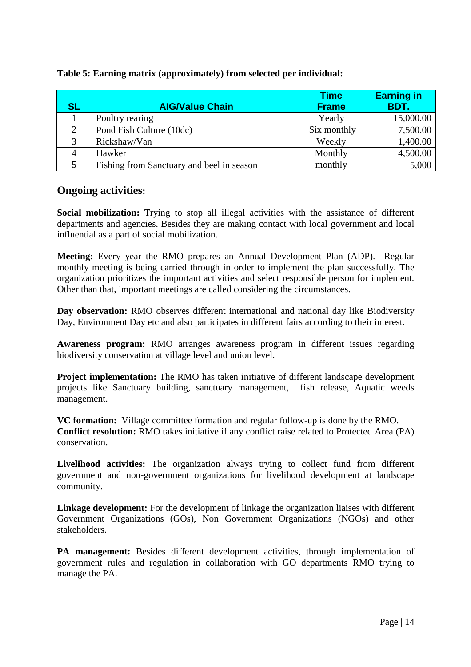| <b>SL</b> | <b>AIG/Value Chain</b>                    | <b>Time</b><br><b>Frame</b> | <b>Earning in</b><br>BDT. |
|-----------|-------------------------------------------|-----------------------------|---------------------------|
|           | Poultry rearing                           | Yearly                      | 15,000.00                 |
| 2         | Pond Fish Culture (10dc)                  | Six monthly                 | 7,500.00                  |
| 3         | Rickshaw/Van                              | Weekly                      | 1,400.00                  |
| 4         | Hawker                                    | Monthly                     | 4,500.00                  |
|           | Fishing from Sanctuary and beel in season | monthly                     | 5,000                     |

#### **Table 5: Earning matrix (approximately) from selected per individual:**

## **Ongoing activities:**

**Social mobilization:** Trying to stop all illegal activities with the assistance of different departments and agencies. Besides they are making contact with local government and local influential as a part of social mobilization.

**Meeting:** Every year the RMO prepares an Annual Development Plan (ADP). Regular monthly meeting is being carried through in order to implement the plan successfully. The organization prioritizes the important activities and select responsible person for implement. Other than that, important meetings are called considering the circumstances.

**Day observation:** RMO observes different international and national day like Biodiversity Day, Environment Day etc and also participates in different fairs according to their interest.

**Awareness program:** RMO arranges awareness program in different issues regarding biodiversity conservation at village level and union level.

**Project implementation:** The RMO has taken initiative of different landscape development projects like Sanctuary building, sanctuary management, fish release, Aquatic weeds management.

**VC formation:** Village committee formation and regular follow-up is done by the RMO. **Conflict resolution:** RMO takes initiative if any conflict raise related to Protected Area (PA) conservation.

**Livelihood activities:** The organization always trying to collect fund from different government and non-government organizations for livelihood development at landscape community.

**Linkage development:** For the development of linkage the organization liaises with different Government Organizations (GOs), Non Government Organizations (NGOs) and other stakeholders.

**PA management:** Besides different development activities, through implementation of government rules and regulation in collaboration with GO departments RMO trying to manage the PA.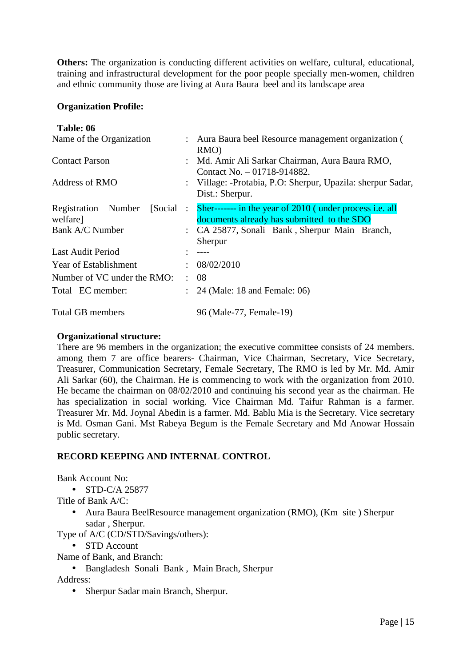**Others:** The organization is conducting different activities on welfare, cultural, educational, training and infrastructural development for the poor people specially men-women, children and ethnic community those are living at Aura Baura beel and its landscape area

#### **Organization Profile:**

#### **Table: 06**

| Name of the Organization                   |                   | : Aura Baura beel Resource management organization (<br>RMO)                                          |
|--------------------------------------------|-------------------|-------------------------------------------------------------------------------------------------------|
| <b>Contact Parson</b>                      |                   | : Md. Amir Ali Sarkar Chairman, Aura Baura RMO,<br>Contact No. - 01718-914882.                        |
| <b>Address of RMO</b>                      |                   | : Village: -Protabia, P.O: Sherpur, Upazila: sherpur Sadar,<br>Dist.: Sherpur.                        |
| Registration Number<br>[Social]<br>welfare | $\sim$ 100 $\sim$ | Sher------- in the year of 2010 (under process i.e. all<br>documents already has submitted to the SDO |
| Bank A/C Number                            |                   | : CA 25877, Sonali Bank, Sherpur Main Branch,<br>Sherpur                                              |
| <b>Last Audit Period</b>                   |                   | $---$                                                                                                 |
| Year of Establishment                      |                   | 08/02/2010                                                                                            |
| Number of VC under the RMO:                | ÷                 | -08                                                                                                   |
| Total EC member:                           |                   | 24 (Male: 18 and Female: 06)                                                                          |
| <b>Total GB members</b>                    |                   | 96 (Male-77, Female-19)                                                                               |

#### **Organizational structure:**

There are 96 members in the organization; the executive committee consists of 24 members. among them 7 are office bearers- Chairman, Vice Chairman, Secretary, Vice Secretary, Treasurer, Communication Secretary, Female Secretary, The RMO is led by Mr. Md. Amir Ali Sarkar (60), the Chairman. He is commencing to work with the organization from 2010. He became the chairman on 08/02/2010 and continuing his second year as the chairman. He has specialization in social working. Vice Chairman Md. Taifur Rahman is a farmer. Treasurer Mr. Md. Joynal Abedin is a farmer. Md. Bablu Mia is the Secretary. Vice secretary is Md. Osman Gani. Mst Rabeya Begum is the Female Secretary and Md Anowar Hossain public secretary.

### **RECORD KEEPING AND INTERNAL CONTROL**

Bank Account No:

• STD-C/A 25877

Title of Bank A/C:

• Aura Baura BeelResource management organization (RMO), (Km site) Sherpur sadar , Sherpur.

Type of A/C (CD/STD/Savings/others):

• STD Account

Name of Bank, and Branch:

• Bangladesh Sonali Bank , Main Brach, Sherpur

Address:

• Sherpur Sadar main Branch, Sherpur.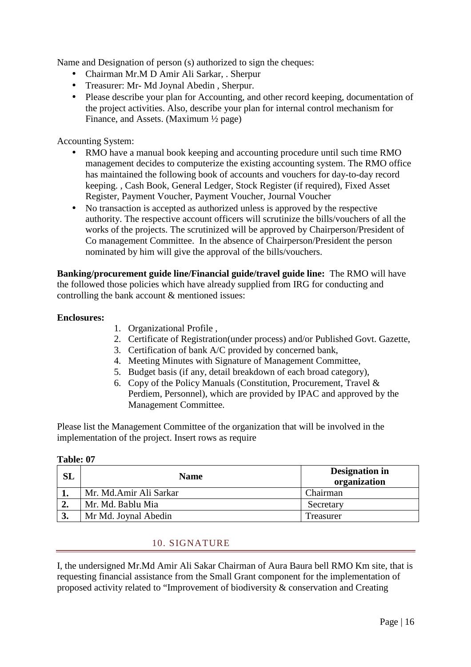Name and Designation of person (s) authorized to sign the cheques:

- Chairman Mr.M D Amir Ali Sarkar, . Sherpur
- Treasurer: Mr- Md Joynal Abedin , Sherpur.
- Please describe your plan for Accounting, and other record keeping, documentation of the project activities. Also, describe your plan for internal control mechanism for Finance, and Assets. (Maximum ½ page)

Accounting System:

- RMO have a manual book keeping and accounting procedure until such time RMO management decides to computerize the existing accounting system. The RMO office has maintained the following book of accounts and vouchers for day-to-day record keeping. , Cash Book, General Ledger, Stock Register (if required), Fixed Asset Register, Payment Voucher, Payment Voucher, Journal Voucher
- No transaction is accepted as authorized unless is approved by the respective authority. The respective account officers will scrutinize the bills/vouchers of all the works of the projects. The scrutinized will be approved by Chairperson/President of Co management Committee. In the absence of Chairperson/President the person nominated by him will give the approval of the bills/vouchers.

**Banking/procurement guide line/Financial guide/travel guide line:** The RMO will have the followed those policies which have already supplied from IRG for conducting and controlling the bank account & mentioned issues:

#### **Enclosures:**

- 1. Organizational Profile ,
- 2. Certificate of Registration(under process) and/or Published Govt. Gazette,
- 3. Certification of bank A/C provided by concerned bank,
- 4. Meeting Minutes with Signature of Management Committee,
- 5. Budget basis (if any, detail breakdown of each broad category),
- 6. Copy of the Policy Manuals (Constitution, Procurement, Travel & Perdiem, Personnel), which are provided by IPAC and approved by the Management Committee.

Please list the Management Committee of the organization that will be involved in the implementation of the project. Insert rows as require

| SL | <b>Name</b>            | <b>Designation in</b><br>organization |
|----|------------------------|---------------------------------------|
|    | Mr. Md.Amir Ali Sarkar | Chairman                              |
| ∠. | Mr. Md. Bablu Mia      | Secretary                             |
| J. | Mr Md. Joynal Abedin   | Treasurer                             |

#### **Table: 07**

#### 10. SIGNATURE

I, the undersigned Mr.Md Amir Ali Sakar Chairman of Aura Baura bell RMO Km site, that is requesting financial assistance from the Small Grant component for the implementation of proposed activity related to "Improvement of biodiversity & conservation and Creating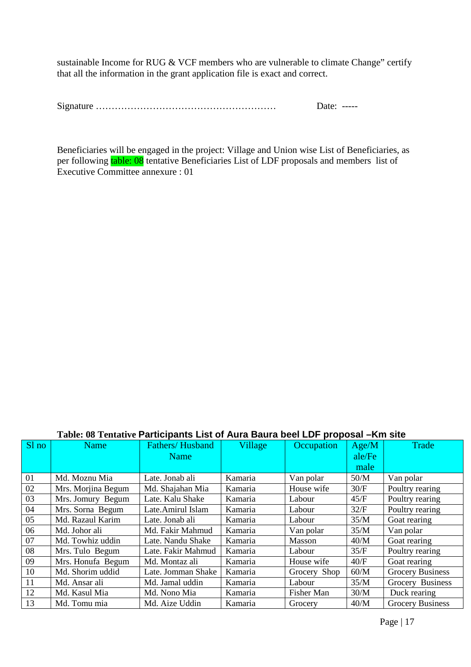sustainable Income for RUG & VCF members who are vulnerable to climate Change" certify that all the information in the grant application file is exact and correct.

|  | Date:<br>------ |
|--|-----------------|
|--|-----------------|

Beneficiaries will be engaged in the project: Village and Union wise List of Beneficiaries, as per following table: 08 tentative Beneficiaries List of LDF proposals and members list of Executive Committee annexure : 01

### **Table: 08 Tentative Participants List of Aura Baura beel LDF proposal –Km site**

| Sl no | Name               | Fathers/Husband<br><b>Name</b> | Village | Occupation   | Age/M<br>ale/Fe | Trade                   |
|-------|--------------------|--------------------------------|---------|--------------|-----------------|-------------------------|
|       |                    |                                |         |              | male            |                         |
| 01    | Md. Moznu Mia      | Late. Jonab ali                | Kamaria | Van polar    | 50/M            | Van polar               |
| 02    | Mrs. Morjina Begum | Md. Shajahan Mia               | Kamaria | House wife   | 30/F            | Poultry rearing         |
| 03    | Mrs. Jomury Begum  | Late. Kalu Shake               | Kamaria | Labour       | 45/F            | Poultry rearing         |
| 04    | Mrs. Sorna Begum   | Late.Amirul Islam              | Kamaria | Labour       | 32/F            | Poultry rearing         |
| 05    | Md. Razaul Karim   | Late. Jonab ali                | Kamaria | Labour       | 35/M            | Goat rearing            |
| 06    | Md. Johor ali      | Md. Fakir Mahmud               | Kamaria | Van polar    | 35/M            | Van polar               |
| 07    | Md. Towhiz uddin   | Late. Nandu Shake              | Kamaria | Masson       | 40/M            | Goat rearing            |
| 08    | Mrs. Tulo Begum    | Late. Fakir Mahmud             | Kamaria | Labour       | 35/F            | Poultry rearing         |
| 09    | Mrs. Honufa Begum  | Md. Montaz ali                 | Kamaria | House wife   | 40/F            | Goat rearing            |
| 10    | Md. Shorim uddid   | Late. Jomman Shake             | Kamaria | Grocery Shop | 60/M            | <b>Grocery Business</b> |
| 11    | Md. Ansar ali      | Md. Jamal uddin                | Kamaria | Labour       | 35/M            | Grocery Business        |
| 12    | Md. Kasul Mia      | Md. Nono Mia                   | Kamaria | Fisher Man   | 30/M            | Duck rearing            |
| 13    | Md. Tomu mia       | Md. Aize Uddin                 | Kamaria | Grocery      | 40/M            | <b>Grocery Business</b> |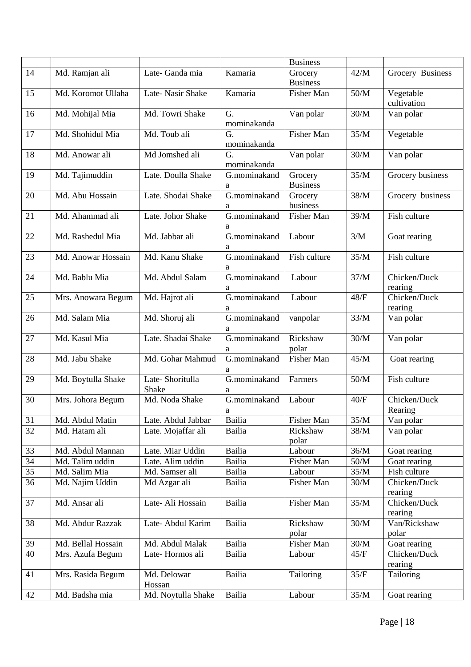|    |                    |                    |               | <b>Business</b>      |        |                         |
|----|--------------------|--------------------|---------------|----------------------|--------|-------------------------|
| 14 | Md. Ramjan ali     | Late-Ganda mia     | Kamaria       | Grocery              | 42/M   | Grocery Business        |
|    |                    |                    |               | <b>Business</b>      |        |                         |
| 15 | Md. Koromot Ullaha | Late-Nasir Shake   | Kamaria       | Fisher Man           | 50/M   | Vegetable               |
|    |                    |                    |               |                      |        | cultivation             |
| 16 | Md. Mohijal Mia    | Md. Towri Shake    | G.            | Van polar            | 30/M   | Van polar               |
|    |                    |                    | mominakanda   |                      |        |                         |
| 17 | Md. Shohidul Mia   | Md. Toub ali       | G.            | <b>Fisher Man</b>    | 35/M   | Vegetable               |
|    |                    |                    | mominakanda   |                      |        |                         |
| 18 | Md. Anowar ali     | Md Jomshed ali     | G.            | Van polar            | 30/M   | Van polar               |
|    |                    |                    | mominakanda   |                      |        |                         |
| 19 | Md. Tajimuddin     | Late. Doulla Shake | G.mominakand  | Grocery              | 35/M   | Grocery business        |
|    |                    |                    | a             | <b>Business</b>      |        |                         |
| 20 | Md. Abu Hossain    | Late. Shodai Shake | G.mominakand  | Grocery              | 38/M   | Grocery business        |
|    |                    |                    | a             | business             |        |                         |
| 21 | Md. Ahammad ali    | Late. Johor Shake  | G.mominakand  | Fisher Man           | 39/M   | Fish culture            |
|    |                    |                    | a             |                      |        |                         |
| 22 | Md. Rashedul Mia   | Md. Jabbar ali     | G.mominakand  | Labour               | 3/M    | Goat rearing            |
|    |                    |                    | a             |                      |        |                         |
| 23 | Md. Anowar Hossain | Md. Kanu Shake     | G.mominakand  | Fish culture         | 35/M   | Fish culture            |
|    |                    |                    | a             |                      |        |                         |
| 24 | Md. Bablu Mia      | Md. Abdul Salam    | G.mominakand  | Labour               | 37/M   | Chicken/Duck            |
|    |                    |                    | a             |                      |        | rearing                 |
| 25 | Mrs. Anowara Begum | Md. Hajrot ali     | G.mominakand  | Labour               | $48/F$ | Chicken/Duck            |
|    |                    |                    | a             |                      |        | rearing                 |
| 26 | Md. Salam Mia      | Md. Shoruj ali     | G.mominakand  | vanpolar             | 33/M   | Van polar               |
|    |                    |                    | a             |                      |        |                         |
| 27 | Md. Kasul Mia      | Late. Shadai Shake | G.mominakand  | Rickshaw             | 30/M   | Van polar               |
|    |                    |                    | a             | polar                |        |                         |
| 28 | Md. Jabu Shake     | Md. Gohar Mahmud   | G.mominakand  | Fisher Man           | 45/M   | Goat rearing            |
|    |                    |                    | a             |                      |        |                         |
| 29 | Md. Boytulla Shake | Late-Shoritulla    | G.mominakand  | Farmers              | $50/M$ | Fish culture            |
|    |                    | Shake              | a             |                      |        |                         |
| 30 | Mrs. Johora Begum  | Md. Noda Shake     | G.mominakand  | Labour               | 40/F   | Chicken/Duck            |
|    |                    |                    | a             |                      |        | Rearing                 |
| 31 | Md. Abdul Matin    | Late. Abdul Jabbar | Bailia        | Fisher Man           | 35/M   | Van polar               |
| 32 | Md. Hatam ali      | Late. Mojaffar ali | <b>Bailia</b> | Rickshaw             | 38/M   | Van polar               |
|    |                    |                    |               | polar                |        |                         |
| 33 | Md. Abdul Mannan   | Late. Miar Uddin   | <b>Bailia</b> | Labour               | 36/M   | Goat rearing            |
| 34 | Md. Talim uddin    | Late. Alim uddin   | <b>Bailia</b> | Fisher Man<br>Labour | $50/M$ | Goat rearing            |
| 35 | Md. Salim Mia      | Md. Samser ali     | Bailia        |                      | 35/M   | Fish culture            |
| 36 | Md. Najim Uddin    | Md Azgar ali       | Bailia        | Fisher Man           | 30/M   | Chicken/Duck            |
| 37 | Md. Ansar ali      | Late-Ali Hossain   | <b>Bailia</b> | <b>Fisher Man</b>    | 35/M   | rearing<br>Chicken/Duck |
|    |                    |                    |               |                      |        |                         |
| 38 | Md. Abdur Razzak   | Late-Abdul Karim   | <b>Bailia</b> | Rickshaw             | $30/M$ | rearing<br>Van/Rickshaw |
|    |                    |                    |               | polar                |        | polar                   |
| 39 | Md. Bellal Hossain | Md. Abdul Malak    | <b>Bailia</b> | Fisher Man           | $30/M$ | Goat rearing            |
| 40 | Mrs. Azufa Begum   | Late-Hormos ali    | <b>Bailia</b> | Labour               | 45/F   | Chicken/Duck            |
|    |                    |                    |               |                      |        | rearing                 |
| 41 | Mrs. Rasida Begum  | Md. Delowar        | <b>Bailia</b> | Tailoring            | 35/F   | Tailoring               |
|    |                    | Hossan             |               |                      |        |                         |
| 42 | Md. Badsha mia     | Md. Noytulla Shake | Bailia        | Labour               | 35/M   | Goat rearing            |
|    |                    |                    |               |                      |        |                         |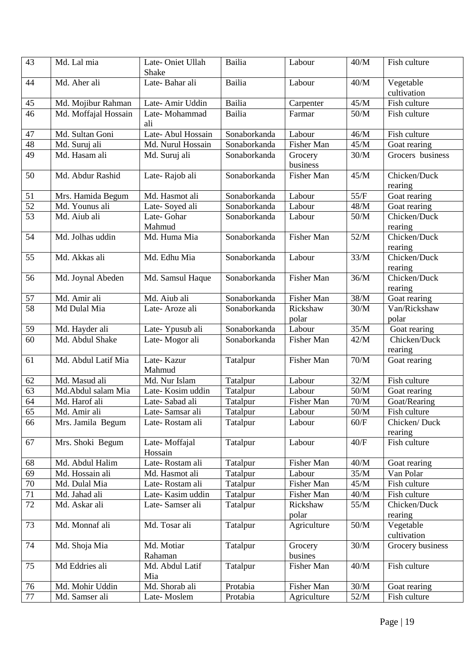| 43              | Md. Lal mia          | Late-Oniet Ullah<br>Shake | Bailia        | Labour              | 40/M   | Fish culture             |
|-----------------|----------------------|---------------------------|---------------|---------------------|--------|--------------------------|
| 44              | Md. Aher ali         | Late-Bahar ali            | Bailia        | Labour              | 40/M   | Vegetable<br>cultivation |
| 45              | Md. Mojibur Rahman   | Late-Amir Uddin           | <b>Bailia</b> | Carpenter           | 45/M   | Fish culture             |
| 46              | Md. Moffajal Hossain | Late-Mohammad<br>ali      | Bailia        | Farmar              | 50/M   | Fish culture             |
| 47              | Md. Sultan Goni      | Late-Abul Hossain         | Sonaborkanda  | Labour              | 46/M   | Fish culture             |
| 48              | Md. Suruj ali        | Md. Nurul Hossain         | Sonaborkanda  | Fisher Man          | 45/M   | Goat rearing             |
| 49              | Md. Hasam ali        | Md. Suruj ali             | Sonaborkanda  | Grocery<br>business | 30/M   | Grocers business         |
| 50              | Md. Abdur Rashid     | Late-Rajob ali            | Sonaborkanda  | Fisher Man          | 45/M   | Chicken/Duck<br>rearing  |
| 51              | Mrs. Hamida Begum    | Md. Hasmot ali            | Sonaborkanda  | Labour              | 55/F   | Goat rearing             |
| $\overline{52}$ | Md. Younus ali       | Late-Soyed ali            | Sonaborkanda  | Labour              | 48/M   | Goat rearing             |
| $\overline{53}$ | Md. Aiub ali         | Late-Gohar<br>Mahmud      | Sonaborkanda  | Labour              | $50/M$ | Chicken/Duck<br>rearing  |
| 54              | Md. Jolhas uddin     | Md. Huma Mia              | Sonaborkanda  | Fisher Man          | 52/M   | Chicken/Duck<br>rearing  |
| 55              | Md. Akkas ali        | Md. Edhu Mia              | Sonaborkanda  | Labour              | 33/M   | Chicken/Duck<br>rearing  |
| 56              | Md. Joynal Abeden    | Md. Samsul Haque          | Sonaborkanda  | Fisher Man          | 36/M   | Chicken/Duck<br>rearing  |
| 57              | Md. Amir ali         | Md. Aiub ali              | Sonaborkanda  | Fisher Man          | 38/M   | Goat rearing             |
| 58              | Md Dulal Mia         | Late-Aroze ali            | Sonaborkanda  | Rickshaw<br>polar   | 30/M   | Van/Rickshaw<br>polar    |
| 59              | Md. Hayder ali       | Late-Ypusub ali           | Sonaborkanda  | Labour              | 35/M   | Goat rearing             |
| 60              | Md. Abdul Shake      | Late-Mogor ali            | Sonaborkanda  | Fisher Man          | 42/M   | Chicken/Duck<br>rearing  |
| 61              | Md. Abdul Latif Mia  | Late-Kazur<br>Mahmud      | Tatalpur      | Fisher Man          | 70/M   | Goat rearing             |
| 62              | Md. Masud ali        | Md. Nur Islam             | Tatalpur      | Labour              | 32/M   | Fish culture             |
| 63              | Md.Abdul salam Mia   | Late-Kosim uddin          | Tatalpur      | Labour              | $50/M$ | Goat rearing             |
| 64              | Md. Harof ali        | Late-Sabad ali            | Tatalpur      | Fisher Man          | 70/M   | Goat/Rearing             |
| 65              | Md. Amir ali         | Late-Samsar ali           | Tatalpur      | Labour              | $50/M$ | Fish culture             |
| 66              | Mrs. Jamila Begum    | Late-Rostam ali           | Tatalpur      | Labour              | 60/F   | Chicken/Duck<br>rearing  |
| 67              | Mrs. Shoki Begum     | Late-Moffajal<br>Hossain  | Tatalpur      | Labour              | 40/F   | Fish culture             |
| 68              | Md. Abdul Halim      | Late-Rostam ali           | Tatalpur      | Fisher Man          | $40/M$ | Goat rearing             |
| 69              | Md. Hossain ali      | Md. Hasmot ali            | Tatalpur      | Labour              | 35/M   | Van Polar                |
| 70              | Md. Dulal Mia        | Late-Rostam ali           | Tatalpur      | <b>Fisher Man</b>   | 45/M   | Fish culture             |
| 71              | Md. Jahad ali        | Late-Kasim uddin          | Tatalpur      | Fisher Man          | 40/M   | Fish culture             |
| 72              | Md. Askar ali        | Late-Samser ali           | Tatalpur      | Rickshaw<br>polar   | 55/M   | Chicken/Duck<br>rearing  |
| 73              | Md. Monnaf ali       | Md. Tosar ali             | Tatalpur      | Agriculture         | $50/M$ | Vegetable<br>cultivation |
| 74              | Md. Shoja Mia        | Md. Motiar<br>Rahaman     | Tatalpur      | Grocery<br>busines  | $30/M$ | Grocery business         |
| 75              | Md Eddries ali       | Md. Abdul Latif<br>Mia    | Tatalpur      | Fisher Man          | 40/M   | Fish culture             |
| 76              | Md. Mohir Uddin      | Md. Shorab ali            | Protabia      | Fisher Man          | $30/M$ | Goat rearing             |
| 77              | Md. Samser ali       | Late-Moslem               | Protabia      | Agriculture         | 52/M   | Fish culture             |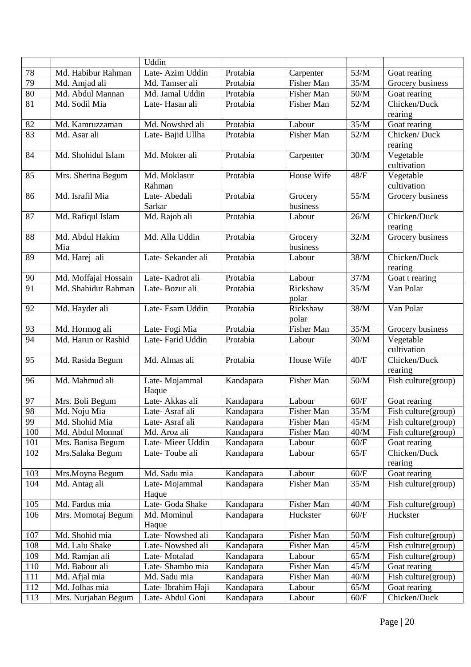|                 |                      | Uddin                           |                        |                   |                   |                                            |
|-----------------|----------------------|---------------------------------|------------------------|-------------------|-------------------|--------------------------------------------|
| 78              | Md. Habibur Rahman   | Late-Azim Uddin                 | Protabia               | Carpenter         | 53/M              | Goat rearing                               |
| 79              | Md. Amjad ali        | Md. Tamser ali                  | Protabia               | Fisher Man        | 35/M              | Grocery business                           |
| 80              | Md. Abdul Mannan     | Md. Jamal Uddin                 | Protabia               | Fisher Man        | $50/M$            | Goat rearing                               |
| 81              | Md. Sodil Mia        | Late-Hasan ali                  | Protabia               | Fisher Man        | 52/M              | Chicken/Duck                               |
|                 |                      |                                 |                        |                   |                   | rearing                                    |
| 82              | Md. Kamruzzaman      | Md. Nowshed ali                 | Protabia               | Labour            | $\overline{35/M}$ | Goat rearing                               |
| 83              | Md. Asar ali         | Late-Bajid Ullha                | Protabia               | Fisher Man        | 52/M              | Chicken/Duck                               |
|                 |                      |                                 |                        |                   |                   | rearing                                    |
| 84              | Md. Shohidul Islam   | Md. Mokter ali                  | Protabia               | Carpenter         | $30/M$            | Vegetable                                  |
|                 |                      |                                 |                        |                   |                   | cultivation                                |
| 85              | Mrs. Sherina Begum   | Md. Moklasur                    | Protabia               | House Wife        | $48/F$            | Vegetable                                  |
|                 |                      | Rahman                          |                        |                   |                   | cultivation                                |
| 86              | Md. Israfil Mia      | Late-Abedali                    | Protabia               | Grocery           | 55/M              | Grocery business                           |
|                 |                      | Sarkar                          |                        | business          |                   |                                            |
| 87              | Md. Rafiqul Islam    | Md. Rajob ali                   | Protabia               | Labour            | 26/M              | Chicken/Duck                               |
|                 |                      |                                 |                        |                   |                   | rearing                                    |
| 88              | Md. Abdul Hakim      | Md. Alla Uddin                  | Protabia               | Grocery           | 32/M              | Grocery business                           |
|                 | Mia                  |                                 |                        | business          |                   |                                            |
| 89              | Md. Harej ali        | Late-Sekander ali               | Protabia               | Labour            | $38/M$            | Chicken/Duck                               |
|                 |                      |                                 |                        |                   |                   | rearing                                    |
| 90              | Md. Moffajal Hossain | Late-Kadrot ali                 | Protabia               | Labour            | 37/M              | Goat t rearing                             |
| $\overline{91}$ | Md. Shahidur Rahman  | Late-Bozur ali                  | Protabia               | Rickshaw          | 35/M              | Van Polar                                  |
|                 |                      |                                 |                        | polar             |                   |                                            |
| 92              | Md. Hayder ali       | Late-Esam Uddin                 | Protabia               | Rickshaw          | 38/M              | Van Polar                                  |
|                 |                      |                                 |                        | polar             |                   |                                            |
| 93              | Md. Hormog ali       | Late-Fogi Mia                   | Protabia               | <b>Fisher Man</b> | 35/M              | Grocery business                           |
| 94              | Md. Harun or Rashid  | Late-Farid Uddin                | Protabia               | Labour            | $30/M$            | Vegetable<br>cultivation                   |
| 95              | Md. Rasida Begum     | Md. Almas ali                   | Protabia               | House Wife        | $40/F$            | Chicken/Duck                               |
|                 |                      |                                 |                        |                   |                   | rearing                                    |
| 96              | Md. Mahmud ali       | Late-Mojammal                   | Kandapara              | Fisher Man        | $50/M$            | Fish culture(group)                        |
|                 |                      | Haque                           |                        |                   |                   |                                            |
| 97              | Mrs. Boli Begum      | Late-Akkas ali                  | Kandapara              | Labour            | 60/F              | Goat rearing                               |
| 98              | Md. Noju Mia         | Late-Asraf ali                  | Kandapara              | Fisher Man        | 35/M              | Fish culture(group)                        |
| 99              | Md. Shohid Mia       | Late-Asraf ali                  | Kandapara              | Fisher Man        | 45/M              | Fish culture(group)                        |
| 100             | Md. Abdul Monnaf     | Md. Aroz ali                    | Kandapara              | Fisher Man        | 40/M              | Fish culture(group)                        |
| 101             | Mrs. Banisa Begum    | Late-Mieer Uddin                | Kandapara              | Labour            | 60/F              | Goat rearing                               |
| 102             | Mrs.Salaka Begum     | Late-Toube ali                  | Kandapara              | Labour            | 65/F              | Chicken/Duck                               |
|                 |                      |                                 |                        |                   |                   | rearing                                    |
| 103             | Mrs.Moyna Begum      | Md. Sadu mia                    | Kandapara              | Labour            | $60/F$            | Goat rearing                               |
| 104             | Md. Antag ali        | Late-Mojammal                   | Kandapara              | Fisher Man        | 35/M              | Fish culture(group)                        |
|                 |                      | Haque                           |                        |                   | 40/M              |                                            |
| 105             | Md. Fardus mia       | Late- Goda Shake<br>Md. Mominul | Kandapara              | Fisher Man        |                   | Fish culture(group)                        |
| 106             | Mrs. Momotaj Begum   |                                 | Kandapara              | Huckster          | 60/F              | Huckster                                   |
| 107             | Md. Shohid mia       | Haque<br>Late-Nowshed ali       |                        | Fisher Man        | $50/M$            |                                            |
| 108             | Md. Lalu Shake       | Late-Nowshed ali                | Kandapara<br>Kandapara | Fisher Man        | 45/M              | Fish culture(group)<br>Fish culture(group) |
| 109             | Md. Ramjan ali       | Late-Motalad                    | Kandapara              | Labour            | 65/M              | Fish culture(group)                        |
| 110             | Md. Babour ali       | Late-Shambo mia                 | Kandapara              | Fisher Man        | 45/M              | Goat rearing                               |
| 111             | Md. Afjal mia        | Md. Sadu mia                    | Kandapara              | Fisher Man        | $40/M$            | Fish culture(group)                        |
| 112             | Md. Jolhas mia       | Late-Ibrahim Haji               | Kandapara              | Labour            | 65/M              | Goat rearing                               |
| 113             | Mrs. Nurjahan Begum  | Late-Abdul Goni                 | Kandapara              | Labour            | 60/F              | Chicken/Duck                               |
|                 |                      |                                 |                        |                   |                   |                                            |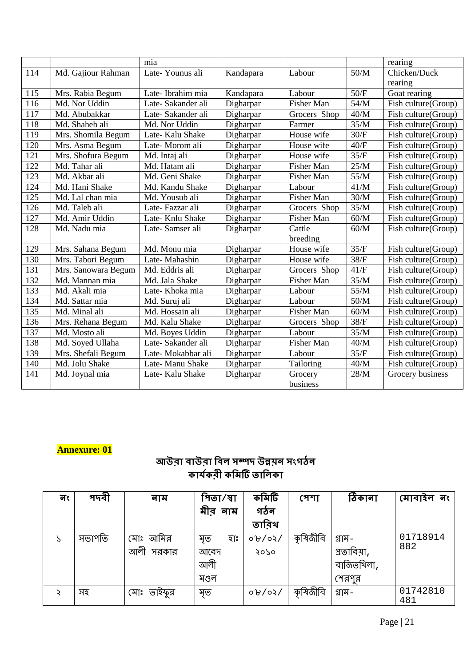|     |                     | mia               |           |                   |        | rearing             |
|-----|---------------------|-------------------|-----------|-------------------|--------|---------------------|
| 114 | Md. Gajiour Rahman  | Late-Younus ali   | Kandapara | Labour            | $50/M$ | Chicken/Duck        |
|     |                     |                   |           |                   |        | rearing             |
| 115 | Mrs. Rabia Begum    | Late-Ibrahim mia  | Kandapara | Labour            | 50/F   | Goat rearing        |
| 116 | Md. Nor Uddin       | Late-Sakander ali | Digharpar | <b>Fisher Man</b> | 54/M   | Fish culture(Group) |
| 117 | Md. Abubakkar       | Late-Sakander ali | Digharpar | Grocers Shop      | 40/M   | Fish culture(Group) |
| 118 | Md. Shaheb ali      | Md. Nor Uddin     | Digharpar | Farmer            | 35/M   | Fish culture(Group) |
| 119 | Mrs. Shomila Begum  | Late-Kalu Shake   | Digharpar | House wife        | 30/F   | Fish culture(Group) |
| 120 | Mrs. Asma Begum     | Late-Morom ali    | Digharpar | House wife        | 40/F   | Fish culture(Group) |
| 121 | Mrs. Shofura Begum  | Md. Intaj ali     | Digharpar | House wife        | 35/F   | Fish culture(Group) |
| 122 | Md. Tahar ali       | Md. Hatam ali     | Digharpar | Fisher Man        | 25/M   | Fish culture(Group) |
| 123 | Md. Akbar ali       | Md. Geni Shake    | Digharpar | Fisher Man        | 55/M   | Fish culture(Group) |
| 124 | Md. Hani Shake      | Md. Kandu Shake   | Digharpar | Labour            | 41/M   | Fish culture(Group) |
| 125 | Md. Lal chan mia    | Md. Yousub ali    | Digharpar | <b>Fisher Man</b> | 30/M   | Fish culture(Group) |
| 126 | Md. Taleb ali       | Late-Fazzar ali   | Digharpar | Grocers Shop      | 35/M   | Fish culture(Group) |
| 127 | Md. Amir Uddin      | Late-Knlu Shake   | Digharpar | Fisher Man        | 60/M   | Fish culture(Group) |
| 128 | Md. Nadu mia        | Late-Samser ali   | Digharpar | Cattle            | 60/M   | Fish culture(Group) |
|     |                     |                   |           | breeding          |        |                     |
| 129 | Mrs. Sahana Begum   | Md. Monu mia      | Digharpar | House wife        | 35/F   | Fish culture(Group) |
| 130 | Mrs. Tabori Begum   | Late-Mahashin     | Digharpar | House wife        | 38/F   | Fish culture(Group) |
| 131 | Mrs. Sanowara Begum | Md. Eddris ali    | Digharpar | Grocers Shop      | 41/F   | Fish culture(Group) |
| 132 | Md. Mannan mia      | Md. Jala Shake    | Digharpar | Fisher Man        | 35/M   | Fish culture(Group) |
| 133 | Md. Akali mia       | Late-Khoka mia    | Digharpar | Labour            | 55/M   | Fish culture(Group) |
| 134 | Md. Sattar mia      | Md. Suruj ali     | Digharpar | Labour            | 50/M   | Fish culture(Group) |
| 135 | Md. Minal ali       | Md. Hossain ali   | Digharpar | Fisher Man        | 60/M   | Fish culture(Group) |
| 136 | Mrs. Rehana Begum   | Md. Kalu Shake    | Digharpar | Grocers Shop      | 38/F   | Fish culture(Group) |
| 137 | Md. Mosto ali       | Md. Boyes Uddin   | Digharpar | Labour            | 35/M   | Fish culture(Group) |
| 138 | Md. Soyed Ullaha    | Late-Sakander ali | Digharpar | Fisher Man        | 40/M   | Fish culture(Group) |
| 139 | Mrs. Shefali Begum  | Late-Mokabbar ali | Digharpar | Labour            | 35/F   | Fish culture(Group) |
| 140 | Md. Jolu Shake      | Late-Manu Shake   | Digharpar | Tailoring         | $40/M$ | Fish culture(Group) |
| 141 | Md. Joynal mia      | Late-Kalu Shake   | Digharpar | Grocery           | 28/M   | Grocery business    |
|     |                     |                   |           | business          |        |                     |

# **Annexure: 01**

# আউবা বাউবা বিল সম্পদ উন্নয়ন সংগঠন কাৰ্যকৰী কমিটি তালিকা

| নং | পদবী   | नाम           | পিতা ⁄ স্বা | কমিটি        | পেশা     | ঠিকানা      | মোবাহল নং       |
|----|--------|---------------|-------------|--------------|----------|-------------|-----------------|
|    |        |               | মীর নাম     | গঠন          |          |             |                 |
|    |        |               |             | তারিথ        |          |             |                 |
| C  | সভাপতি | আমির<br>মোঃ   | হাঃ<br>মৃত  | 0.91/05      | কৃষিজীবি | গ্ৰাম–      | 01718914        |
|    |        | আলী<br>সরকার  | আবেদ        | २०५०         |          | প্ৰতাবিয়া, | 882             |
|    |        |               | আলী         |              |          | বাজিতখিলা,  |                 |
|    |        |               | মণ্ডল       |              |          | শেরপুর      |                 |
|    | সহ     | মোঃ<br>তাইফুর | মৃত         | $0.9$ / 05 / | কৃষিজীবি | গ্রাম $-$   | 01742810<br>481 |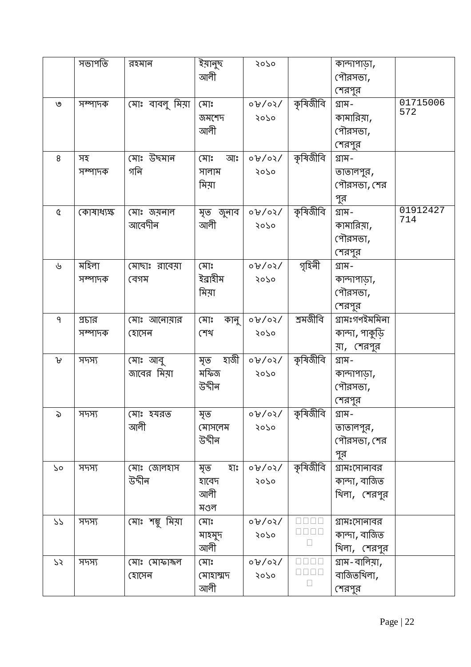|                                                | সভাপতি     | রহমান                | ইয়ানুছ<br>আলী   | 9920                           |          | কান্দাপাড়া,<br>পৌরসভা,   |          |
|------------------------------------------------|------------|----------------------|------------------|--------------------------------|----------|---------------------------|----------|
|                                                |            |                      |                  |                                |          |                           |          |
| ৩                                              | সম্পাদক    | মোঃ বাবলু মিয়া      | মোঃ              | 0.90/90                        | কৃষিজীবি | শেরপুর<br>গ্ৰাম–          | 01715006 |
|                                                |            |                      | জমশেদ            | २०५०                           |          | কামারিয়া,                | 572      |
|                                                |            |                      | আলী              |                                |          | পৌরসভা,                   |          |
|                                                |            |                      |                  |                                |          | শেরপুর                    |          |
| 8                                              | সহ         | মোঃ উছমান            | মোঃ<br>আঃ        | $\sqrt{50/60}$                 | কৃষিজীবি | গ্ৰাম–                    |          |
|                                                | সম্পাদক    | গনি                  | সালাম            | 9070                           |          |                           |          |
|                                                |            |                      | মিয়া            |                                |          | তাতালপুর ,<br>পৌরসভা, শের |          |
|                                                |            |                      |                  |                                |          |                           |          |
| $\mathfrak{A}% _{G}^{\alpha}(\mathbb{R}^{2n})$ |            |                      |                  |                                | কৃষিজীবি | পুর<br>গ্ৰাম–             | 01912427 |
|                                                | কোষাধ্যক্ষ | মোঃ জয়নাল<br>আবেদীন | মৃত জুনাব<br>আলী | $\sigma$ / $\sigma$ / $\sigma$ |          |                           | 714      |
|                                                |            |                      |                  | 9070                           |          | কামারিয়া,<br>পৌরসভা,     |          |
|                                                |            |                      |                  |                                |          |                           |          |
|                                                | মহিলা      |                      |                  |                                | গৃহিনী   | শেরপুর                    |          |
| ৬                                              |            | মোছাঃ রাবেয়া        | মোঃ<br>ইব্রাহীম  | $\sigma$ / $\sigma$ / $\sigma$ |          | গ্ৰাম–                    |          |
|                                                | সম্পাদক    | বেগম                 |                  | २०५०                           |          | কান্দাপাড়া,              |          |
|                                                |            |                      | মিয়া            |                                |          | পৌরসভা,                   |          |
|                                                |            |                      |                  |                                |          | শেরপুর                    |          |
| ٩                                              | প্রচার     | মোঃ আনোয়ার          | মোঃ<br>কানু      | $\sqrt{50/60}$                 | শ্ৰমজীবি | গ্ৰামঃগণইমমিনা            |          |
|                                                | সম্পাদক    | হোসেন                | শেখ              | 9070                           |          | কান্দা , পাকুড়ি          |          |
|                                                |            |                      |                  |                                |          | য়া, শেরপুর               |          |
| Ⴆ                                              | সদস্য      | মোঃ আবু              | হাজী<br>মৃত      | $\sigma$ / $\sigma$ / $\sigma$ | কৃষিজীবি | গ্ৰাম–                    |          |
|                                                |            | জাবের মিয়া          | মফিজ             | २०५०                           |          | কান্দাপাড়া,              |          |
|                                                |            |                      | উদ্দীন           |                                |          | পৌরসভা,                   |          |
|                                                |            |                      |                  |                                |          | শেরপুর                    |          |
| ৯                                              | সদস্য      | মোঃ হযরত             | মৃত              | $0.9 \times 10^{-1}$           | কৃষিজীবি | গ্ৰাম–                    |          |
|                                                |            | আলী                  | মোসলেম           | 9920                           |          | তাতালপুর,                 |          |
|                                                |            |                      | উদ্দীন           |                                |          | পৌরসভা, শের               |          |
|                                                |            |                      |                  |                                |          | পুর                       |          |
| ১०                                             | সদস্য      | মোঃ জোলহাস           | মৃত<br>হাঃ       | $\sigma$ / $\sigma$ / $\sigma$ | কৃষিজীবি | গ্রামঃসোনাবর              |          |
|                                                |            | উদ্দীন               | হাবেদ            | 9605                           |          | কান্দা , বাজিত            |          |
|                                                |            |                      | আলী              |                                |          | খিলা, শেরপুর              |          |
|                                                |            |                      | মণ্ডল            |                                |          |                           |          |
| 77                                             | সদস্য      | মোঃ শম্ভু মিয়া      | মোঃ              | 0.90/05                        |          | গ্রামঃসোনাবর              |          |
|                                                |            |                      | মাহমুদ           | २०५०                           |          | কান্দা , বাজিত            |          |
|                                                |            |                      | আলী              |                                |          | থিলা, শেরপুর              |          |
| 75                                             | সদস্য      | মোঃ মোফাঙ্গল         | মোঃ              | 0.90/05                        |          | গ্ৰাম–বালিয়া ,           |          |
|                                                |            | হোসেন                | মোহাম্মদ         | २०५०                           |          | বাজিতখিলা,                |          |
|                                                |            |                      | আলী              |                                |          | শেরপুর                    |          |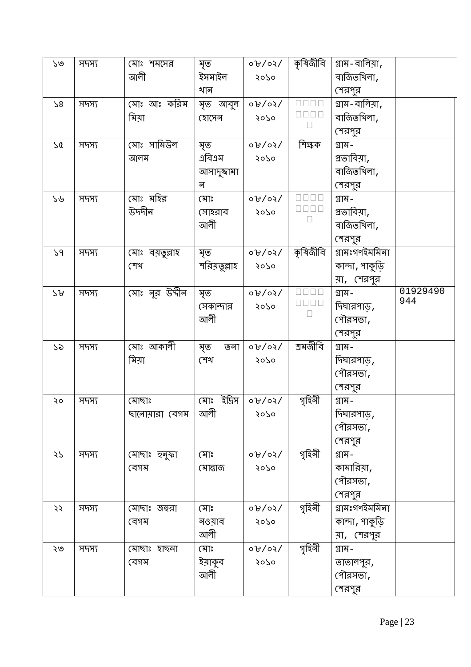| ১৩ | সদস্য | মোঃ শমসের      | মৃত           | 0.909          | কৃষিজীবি | গ্ৰাম–বালিয়া,   |          |
|----|-------|----------------|---------------|----------------|----------|------------------|----------|
|    |       | আলী            | ইসমাইল        | 9920           |          | বাজিতখিলা,       |          |
|    |       |                | খান           |                |          | শেরপুর           |          |
| 58 | সদস্য | মোঃ আঃ করিম    | মৃত আবুল      | 0.90/0.00      |          | গ্ৰাম–বালিয়া,   |          |
|    |       | মিয়া          | হোসেন         | २०५०           |          | বাজিতখিলা,       |          |
|    |       |                |               |                |          | শেরপুর           |          |
| 75 | সদস্য | মোঃ সামিউল     | মৃত           | $0.9$ / $0.9$  | শিক্ষক   | গ্ৰাম–           |          |
|    |       | আলম            | এবিএম         | 9070           |          | গ্রতাবিয়া,      |          |
|    |       |                | আসাদুষ্কামা   |                |          | বাজিতখিলা,       |          |
|    |       |                | ন             |                |          | শেরপুর           |          |
| ১৬ | সদস্য | মোঃ মহির       | মোঃ           | 0.90/0.07      |          | গ্ৰাম–           |          |
|    |       | উদদীন          | সোহরাব        | २०५०           |          | প্রতাবিয়া,      |          |
|    |       |                | আলী           |                |          | বাজিতখিলা,       |          |
|    |       |                |               |                |          | শেরপুর           |          |
| 59 | সদস্য | মোঃ বয়তুল্লাহ | মৃত           | $\sqrt{50/60}$ | কৃষিজীবি | গ্ৰামঃগণইমমিনা   |          |
|    |       | শেখ            | শরিয়তুল্লাহ  | 9920           |          | কান্দা , পাকুড়ি |          |
|    |       |                |               |                |          | য়া, শেরপুর      |          |
| 29 | সদস্য | মোঃ নুর উদীন   | মৃত           | 0.909          |          | গ্ৰাম–           | 01929490 |
|    |       |                | সেকান্দার     | 9920           |          | দিঘারপাড় ,      | 944      |
|    |       |                | আলী           |                |          | পৌরসভা,          |          |
|    |       |                |               |                |          | শেরপুর           |          |
| ১৯ | সদস্য | মোঃ আকালী      | মৃত<br>তনা    | 0.90/0.07      | শ্ৰমজীবি | গ্ৰাম–           |          |
|    |       | মিয়া          | শেখ           | 9920           |          | দিঘারপাড় ,      |          |
|    |       |                |               |                |          | পৌরসভা,          |          |
|    |       |                |               |                |          | শেরপুর           |          |
| ২০ | সদস্য | মোছাঃ          | ইদ্রিস<br>মোঃ | 0.80           | গৃহিনী   | গ্ৰাম–           |          |
|    |       | ছানোয়ারা বেগম | আলী           | २०५०           |          | দিঘারপাড়,       |          |
|    |       |                |               |                |          | পৌরসভা,          |          |
|    |       |                |               |                |          | শেরপুর           |          |
| 55 | সদস্য | মোছাঃ হুনুফা   | মোঃ           | $\sqrt{50/90}$ | গৃহিনী   | গ্ৰাম–           |          |
|    |       | বেগম           | মোৱাজ         | ২০১০           |          | কামারিয়া,       |          |
|    |       |                |               |                |          | পৌরসভা,          |          |
|    |       |                |               |                |          | শেরপুর           |          |
| ২২ | সদস্য | মোছাঃ জহুরা    | মোঃ           | 0.90/07        | গৃহিনী   | গ্ৰামঃগণইমমিনা   |          |
|    |       | বেগম           | নওয়াব        | २०५०           |          | কান্দা , পাকুড়ি |          |
|    |       |                | আলী           |                |          | য়া, শেরপুর      |          |
| ২৩ | সদস্য | হাছনা<br>মোছাঃ | মোঃ           | $0.8$ / 0/     | গৃহিনী   | গ্ৰাম–           |          |
|    |       | বেগম           | ইয়াকুব       | २०५०           |          | তাতালপুর ,       |          |
|    |       |                | আলী           |                |          | পৌরসভা,          |          |
|    |       |                |               |                |          | শেরপুর           |          |